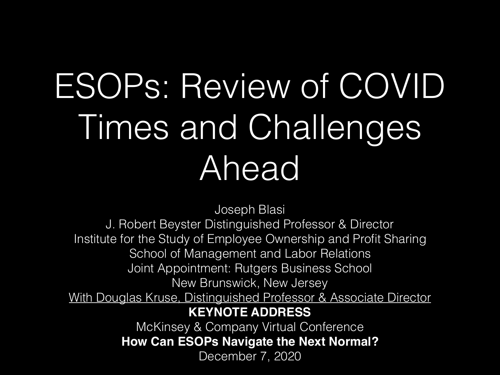## ESOPs: Review of COVID Times and Challenges Ahead

Joseph Blasi

J. Robert Beyster Distinguished Professor & Director Institute for the Study of Employee Ownership and Profit Sharing School of Management and Labor Relations Joint Appointment: Rutgers Business School New Brunswick, New Jersey With Douglas Kruse, Distinguished Professor & Associate Director **KEYNOTE ADDRESS** McKinsey & Company Virtual Conference **How Can ESOPs Navigate the Next Normal?**

December 7, 2020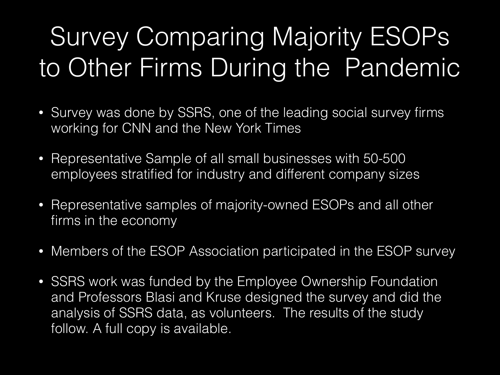#### Survey Comparing Majority ESOPs to Other Firms During the Pandemic

- Survey was done by SSRS, one of the leading social survey firms working for CNN and the New York Times
- Representative Sample of all small businesses with 50-500 employees stratified for industry and different company sizes
- Representative samples of majority-owned ESOPs and all other firms in the economy
- Members of the ESOP Association participated in the ESOP survey
- SSRS work was funded by the Employee Ownership Foundation and Professors Blasi and Kruse designed the survey and did the analysis of SSRS data, as volunteers. The results of the study follow. A full copy is available.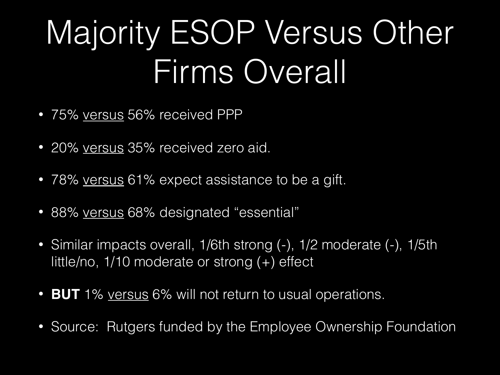### Majority ESOP Versus Other Firms Overall

- 75% versus 56% received PPP
- 20% versus 35% received zero aid.
- 78% versus 61% expect assistance to be a gift.
- 88% versus 68% designated "essential"
- Similar impacts overall, 1/6th strong (-), 1/2 moderate (-), 1/5th little/no, 1/10 moderate or strong (+) effect
- **BUT** 1% versus 6% will not return to usual operations.
- Source: Rutgers funded by the Employee Ownership Foundation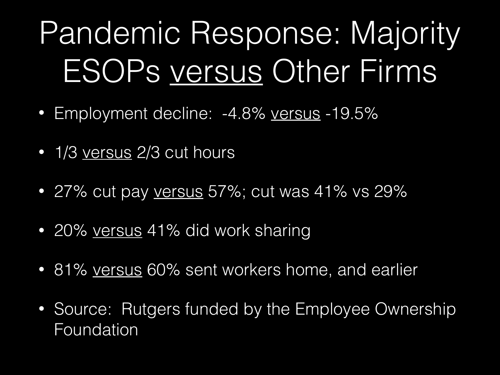### Pandemic Response: Majority ESOPs versus Other Firms

- Employment decline: -4.8% versus -19.5%
- 1/3 versus 2/3 cut hours
- 27% cut pay versus 57%; cut was 41% vs 29%
- 20% versus 41% did work sharing
- 81% versus 60% sent workers home, and earlier
- Source: Rutgers funded by the Employee Ownership Foundation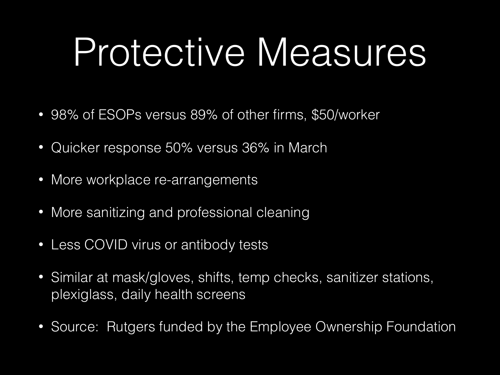# Protective Measures

- 98% of ESOPs versus 89% of other firms, \$50/worker
- Quicker response 50% versus 36% in March
- More workplace re-arrangements
- More sanitizing and professional cleaning
- Less COVID virus or antibody tests
- Similar at mask/gloves, shifts, temp checks, sanitizer stations, plexiglass, daily health screens
- Source: Rutgers funded by the Employee Ownership Foundation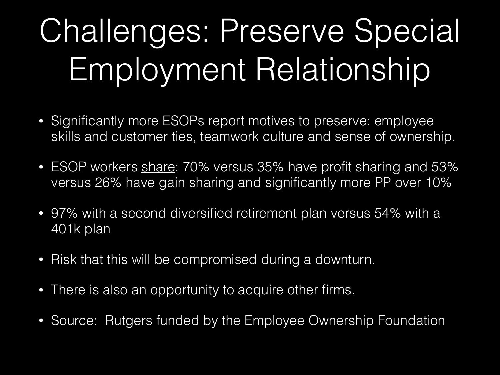### Challenges: Preserve Special Employment Relationship

- Significantly more ESOPs report motives to preserve: employee skills and customer ties, teamwork culture and sense of ownership.
- ESOP workers share: 70% versus 35% have profit sharing and 53% versus 26% have gain sharing and significantly more PP over 10%
- 97% with a second diversified retirement plan versus 54% with a 401k plan
- Risk that this will be compromised during a downturn.
- There is also an opportunity to acquire other firms.
- Source: Rutgers funded by the Employee Ownership Foundation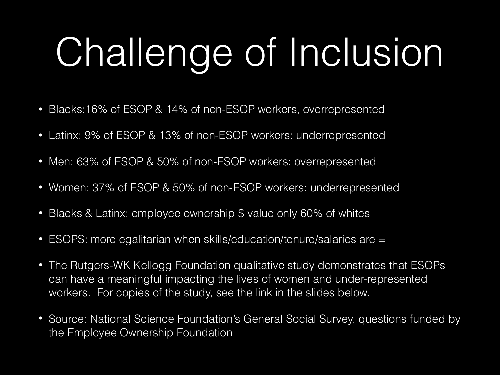# Challenge of Inclusion

- Blacks:16% of ESOP & 14% of non-ESOP workers, overrepresented
- Latinx: 9% of ESOP & 13% of non-ESOP workers: underrepresented
- Men: 63% of ESOP & 50% of non-ESOP workers: overrepresented
- Women: 37% of ESOP & 50% of non-ESOP workers: underrepresented
- Blacks & Latinx: employee ownership \$ value only 60% of whites
- ESOPS: more egalitarian when skills/education/tenure/salaries are  $=$
- The Rutgers-WK Kellogg Foundation qualitative study demonstrates that ESOPs can have a meaningful impacting the lives of women and under-represented workers. For copies of the study, see the link in the slides below.
- Source: National Science Foundation's General Social Survey, questions funded by the Employee Ownership Foundation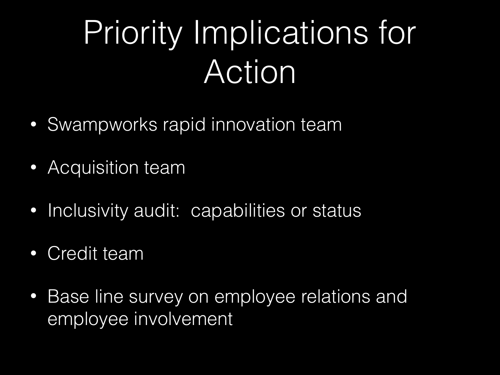### Priority Implications for Action

- Swampworks rapid innovation team
- Acquisition team
- Inclusivity audit: capabilities or status
- Credit team
- Base line survey on employee relations and employee involvement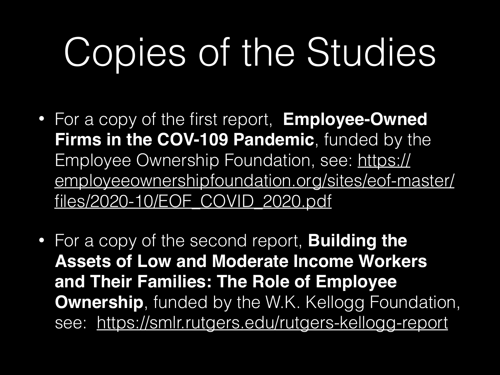# Copies of the Studies

- For a copy of the first report, **Employee-Owned Firms in the COV-109 Pandemic**, funded by the Employee Ownership Foundation, see: https:// [employeeownershipfoundation.org/sites/eof-master/](https://employeeownershipfoundation.org/sites/eof-master/files/2020-10/EOF_COVID_2020.pdf) files/2020-10/EOF\_COVID\_2020.pdf
- For a copy of the second report, **Building the Assets of Low and Moderate Income Workers and Their Families: The Role of Employee Ownership**, funded by the W.K. Kellogg Foundation, see: <https://smlr.rutgers.edu/rutgers-kellogg-report>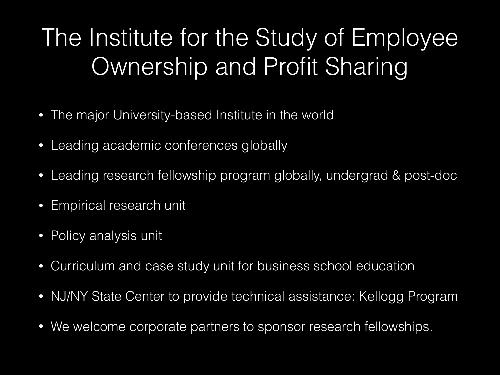#### The Institute for the Study of Employee Ownership and Profit Sharing

- The major University-based Institute in the world
- Leading academic conferences globally
- Leading research fellowship program globally, undergrad & post-doc
- Empirical research unit
- Policy analysis unit
- Curriculum and case study unit for business school education
- NJ/NY State Center to provide technical assistance: Kellogg Program
- We welcome corporate partners to sponsor research fellowships.